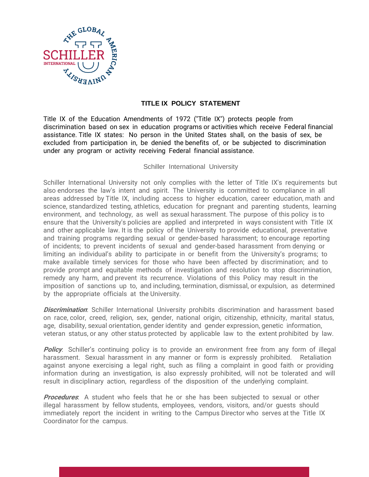

## **TITLE IX POLICY STATEMENT**

Title IX of the Education Amendments of 1972 ("Title IX") protects people from discrimination based on sex in education programs or activities which receive Federal financial assistance. Title IX states: No person in the United States shall, on the basis of sex, be excluded from participation in, be denied the benefits of, or be subjected to discrimination under any program or activity receiving Federal financial assistance.

Schiller International University

Schiller International University not only complies with the letter of Title IX's requirements but also endorses the law's intent and spirit. The University is committed to compliance in all areas addressed by Title IX, including access to higher education, career education, math and science, standardized testing, athletics, education for pregnant and parenting students, learning environment, and technology, as well as sexual harassment. The purpose of this policy is to ensure that the University's policies are applied and interpreted in ways consistent with Title IX and other applicable law. It is the policy of the University to provide educational, preventative and training programs regarding sexual or gender‐based harassment; to encourage reporting of incidents; to prevent incidents of sexual and gender‐based harassment from denying or limiting an individual's ability to participate in or benefit from the University's programs; to make available timely services for those who have been affected by discrimination; and to provide prompt and equitable methods of investigation and resolution to stop discrimination, remedy any harm, and prevent its recurrence. Violations of this Policy may result in the imposition of sanctions up to, and including, termination, dismissal, or expulsion, as determined by the appropriate officials at the University.

**Discrimination**: Schiller International University prohibits discrimination and harassment based on race, color, creed, religion, sex, gender, national origin, citizenship, ethnicity, marital status, age, disability, sexual orientation, gender identity and gender expression, genetic information, veteran status, or any other status protected by applicable law to the extent prohibited by law.

**Policy**: Schiller's continuing policy is to provide an environment free from any form of illegal harassment. Sexual harassment in any manner or form is expressly prohibited. Retaliation against anyone exercising a legal right, such as filing a complaint in good faith or providing information during an investigation, is also expressly prohibited, will not be tolerated and will result in disciplinary action, regardless of the disposition of the underlying complaint.

**Procedures**: A student who feels that he or she has been subjected to sexual or other illegal harassment by fellow students, employees, vendors, visitors, and/or guests should immediately report the incident in writing to the Campus Director who serves at the Title IX Coordinator for the campus.